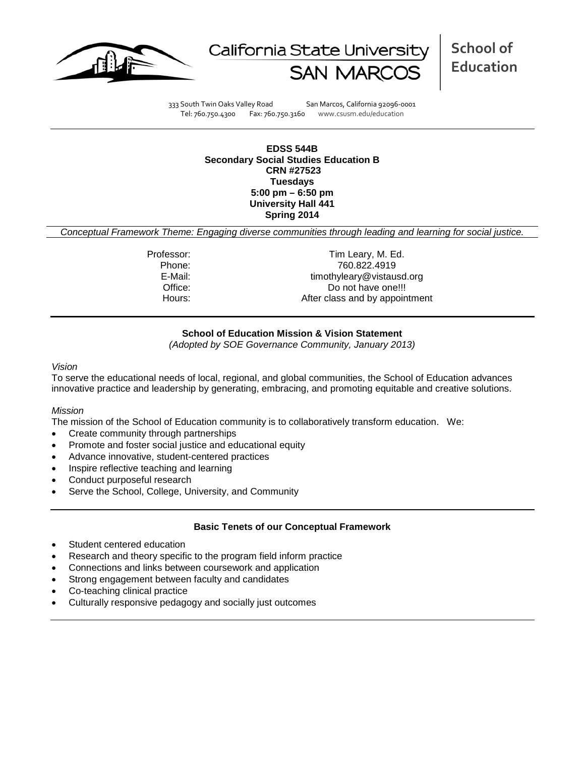



**School of Education**

333 South Twin Oaks Valley Road San Marcos, California 92096-0001 Tel: 760.750.4300 Fax: 760.750.3160 www.csusm.edu/education

**EDSS 544B Secondary Social Studies Education B CRN #27523 Tuesdays 5:00 pm – 6:50 pm University Hall 441 Spring 2014**

*Conceptual Framework Theme: Engaging diverse communities through leading and learning for social justice.*

Professor: Tim Leary, M. Ed. Phone: 760.822.4919<br>E-Mail: The Contract E-Mail: timothyleary@vistausd.org Office: Do not have one!!! Hours: Hours: After class and by appointment

## **School of Education Mission & Vision Statement**

*(Adopted by SOE Governance Community, January 2013)*

#### *Vision*

To serve the educational needs of local, regional, and global communities, the School of Education advances innovative practice and leadership by generating, embracing, and promoting equitable and creative solutions.

## *Mission*

The mission of the School of Education community is to collaboratively transform education. We:

- Create community through partnerships
- Promote and foster social justice and educational equity
- Advance innovative, student-centered practices
- Inspire reflective teaching and learning
- Conduct purposeful research
- Serve the School, College, University, and Community

## **Basic Tenets of our Conceptual Framework**

- Student centered education
- Research and theory specific to the program field inform practice
- Connections and links between coursework and application
- Strong engagement between faculty and candidates
- Co-teaching clinical practice
- Culturally responsive pedagogy and socially just outcomes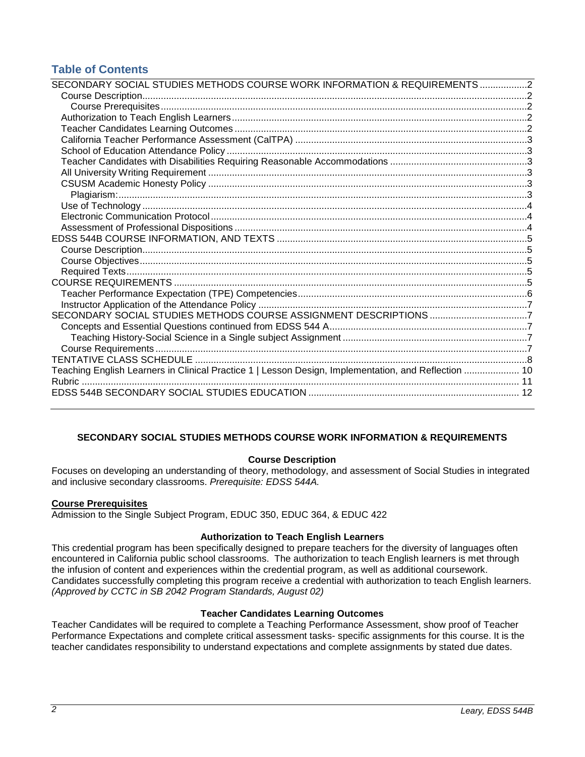# **Table of Contents**

| SECONDARY SOCIAL STUDIES METHODS COURSE WORK INFORMATION & REQUIREMENTS 2                            |  |
|------------------------------------------------------------------------------------------------------|--|
|                                                                                                      |  |
|                                                                                                      |  |
|                                                                                                      |  |
|                                                                                                      |  |
|                                                                                                      |  |
|                                                                                                      |  |
|                                                                                                      |  |
|                                                                                                      |  |
|                                                                                                      |  |
|                                                                                                      |  |
|                                                                                                      |  |
|                                                                                                      |  |
|                                                                                                      |  |
|                                                                                                      |  |
|                                                                                                      |  |
|                                                                                                      |  |
|                                                                                                      |  |
|                                                                                                      |  |
|                                                                                                      |  |
|                                                                                                      |  |
| SECONDARY SOCIAL STUDIES METHODS COURSE ASSIGNMENT DESCRIPTIONS 7                                    |  |
|                                                                                                      |  |
|                                                                                                      |  |
|                                                                                                      |  |
|                                                                                                      |  |
| Teaching English Learners in Clinical Practice 1   Lesson Design, Implementation, and Reflection  10 |  |
|                                                                                                      |  |
|                                                                                                      |  |
|                                                                                                      |  |

## <span id="page-1-0"></span>**SECONDARY SOCIAL STUDIES METHODS COURSE WORK INFORMATION & REQUIREMENTS**

## **Course Description**

<span id="page-1-1"></span>Focuses on developing an understanding of theory, methodology, and assessment of Social Studies in integrated and inclusive secondary classrooms. *Prerequisite: EDSS 544A.*

## <span id="page-1-2"></span>**Course Prerequisites**

Admission to the Single Subject Program, EDUC 350, EDUC 364, & EDUC 422

## **Authorization to Teach English Learners**

<span id="page-1-3"></span>This credential program has been specifically designed to prepare teachers for the diversity of languages often encountered in California public school classrooms. The authorization to teach English learners is met through the infusion of content and experiences within the credential program, as well as additional coursework. Candidates successfully completing this program receive a credential with authorization to teach English learners. *(Approved by CCTC in SB 2042 Program Standards, August 02)*

## **Teacher Candidates Learning Outcomes**

<span id="page-1-5"></span><span id="page-1-4"></span>Teacher Candidates will be required to complete a Teaching Performance Assessment, show proof of Teacher Performance Expectations and complete critical assessment tasks- specific assignments for this course. It is the teacher candidates responsibility to understand expectations and complete assignments by stated due dates.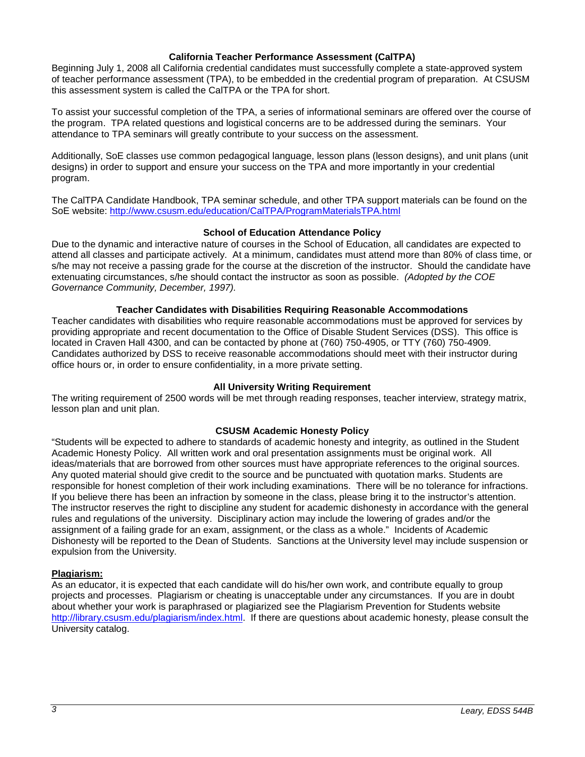## **California Teacher Performance Assessment (CalTPA)**

Beginning July 1, 2008 all California credential candidates must successfully complete a state-approved system of teacher performance assessment (TPA), to be embedded in the credential program of preparation. At CSUSM this assessment system is called the CalTPA or the TPA for short.

To assist your successful completion of the TPA, a series of informational seminars are offered over the course of the program. TPA related questions and logistical concerns are to be addressed during the seminars. Your attendance to TPA seminars will greatly contribute to your success on the assessment.

Additionally, SoE classes use common pedagogical language, lesson plans (lesson designs), and unit plans (unit designs) in order to support and ensure your success on the TPA and more importantly in your credential program.

The CalTPA Candidate Handbook, TPA seminar schedule, and other TPA support materials can be found on the SoE website:<http://www.csusm.edu/education/CalTPA/ProgramMaterialsTPA.html>

## **School of Education Attendance Policy**

<span id="page-2-0"></span>Due to the dynamic and interactive nature of courses in the School of Education, all candidates are expected to attend all classes and participate actively. At a minimum, candidates must attend more than 80% of class time, or s/he may not receive a passing grade for the course at the discretion of the instructor. Should the candidate have extenuating circumstances, s/he should contact the instructor as soon as possible. *(Adopted by the COE Governance Community, December, 1997).*

## **Teacher Candidates with Disabilities Requiring Reasonable Accommodations**

<span id="page-2-1"></span>Teacher candidates with disabilities who require reasonable accommodations must be approved for services by providing appropriate and recent documentation to the Office of Disable Student Services (DSS). This office is located in Craven Hall 4300, and can be contacted by phone at (760) 750-4905, or TTY (760) 750-4909. Candidates authorized by DSS to receive reasonable accommodations should meet with their instructor during office hours or, in order to ensure confidentiality, in a more private setting.

## **All University Writing Requirement**

<span id="page-2-2"></span>The writing requirement of 2500 words will be met through reading responses, teacher interview, strategy matrix, lesson plan and unit plan.

## **CSUSM Academic Honesty Policy**

<span id="page-2-3"></span>"Students will be expected to adhere to standards of academic honesty and integrity, as outlined in the Student Academic Honesty Policy. All written work and oral presentation assignments must be original work. All ideas/materials that are borrowed from other sources must have appropriate references to the original sources. Any quoted material should give credit to the source and be punctuated with quotation marks. Students are responsible for honest completion of their work including examinations. There will be no tolerance for infractions. If you believe there has been an infraction by someone in the class, please bring it to the instructor's attention. The instructor reserves the right to discipline any student for academic dishonesty in accordance with the general rules and regulations of the university. Disciplinary action may include the lowering of grades and/or the assignment of a failing grade for an exam, assignment, or the class as a whole." Incidents of Academic Dishonesty will be reported to the Dean of Students. Sanctions at the University level may include suspension or expulsion from the University.

## <span id="page-2-4"></span>**Plagiarism:**

<span id="page-2-5"></span>As an educator, it is expected that each candidate will do his/her own work, and contribute equally to group projects and processes. Plagiarism or cheating is unacceptable under any circumstances. If you are in doubt about whether your work is paraphrased or plagiarized see the Plagiarism Prevention for Students website [http://library.csusm.edu/plagiarism/index.html.](http://library.csusm.edu/plagiarism/index.html) If there are questions about academic honesty, please consult the University catalog.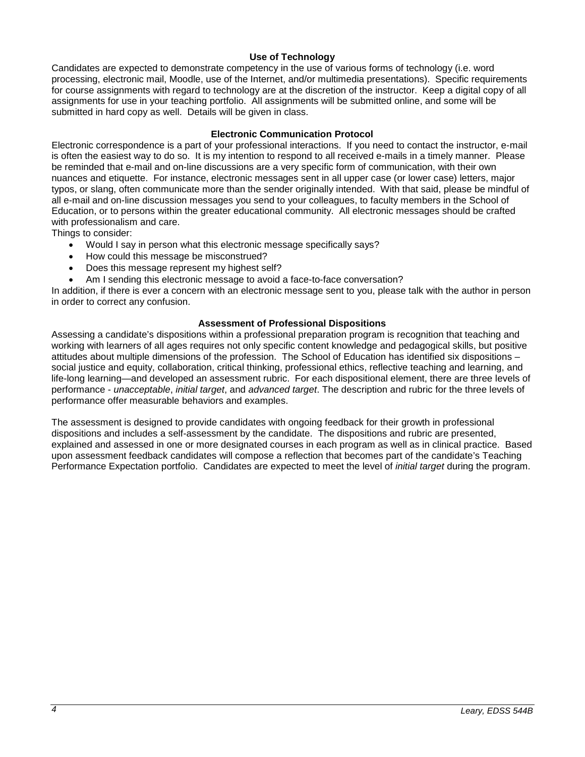## **Use of Technology**

Candidates are expected to demonstrate competency in the use of various forms of technology (i.e. word processing, electronic mail, Moodle, use of the Internet, and/or multimedia presentations). Specific requirements for course assignments with regard to technology are at the discretion of the instructor. Keep a digital copy of all assignments for use in your teaching portfolio. All assignments will be submitted online, and some will be submitted in hard copy as well. Details will be given in class.

## **Electronic Communication Protocol**

<span id="page-3-0"></span>Electronic correspondence is a part of your professional interactions. If you need to contact the instructor, e-mail is often the easiest way to do so. It is my intention to respond to all received e-mails in a timely manner. Please be reminded that e-mail and on-line discussions are a very specific form of communication, with their own nuances and etiquette. For instance, electronic messages sent in all upper case (or lower case) letters, major typos, or slang, often communicate more than the sender originally intended. With that said, please be mindful of all e-mail and on-line discussion messages you send to your colleagues, to faculty members in the School of Education, or to persons within the greater educational community. All electronic messages should be crafted with professionalism and care.

Things to consider:

- Would I say in person what this electronic message specifically says?
- How could this message be misconstrued?
- Does this message represent my highest self?
- Am I sending this electronic message to avoid a face-to-face conversation?

In addition, if there is ever a concern with an electronic message sent to you, please talk with the author in person in order to correct any confusion.

## **Assessment of Professional Dispositions**

<span id="page-3-1"></span>Assessing a candidate's dispositions within a professional preparation program is recognition that teaching and working with learners of all ages requires not only specific content knowledge and pedagogical skills, but positive attitudes about multiple dimensions of the profession. The School of Education has identified six dispositions – social justice and equity, collaboration, critical thinking, professional ethics, reflective teaching and learning, and life-long learning—and developed an assessment rubric. For each dispositional element, there are three levels of performance - *unacceptable*, *initial target*, and *advanced target*. The description and rubric for the three levels of performance offer measurable behaviors and examples.

The assessment is designed to provide candidates with ongoing feedback for their growth in professional dispositions and includes a self-assessment by the candidate. The dispositions and rubric are presented, explained and assessed in one or more designated courses in each program as well as in clinical practice. Based upon assessment feedback candidates will compose a reflection that becomes part of the candidate's Teaching Performance Expectation portfolio. Candidates are expected to meet the level of *initial target* during the program.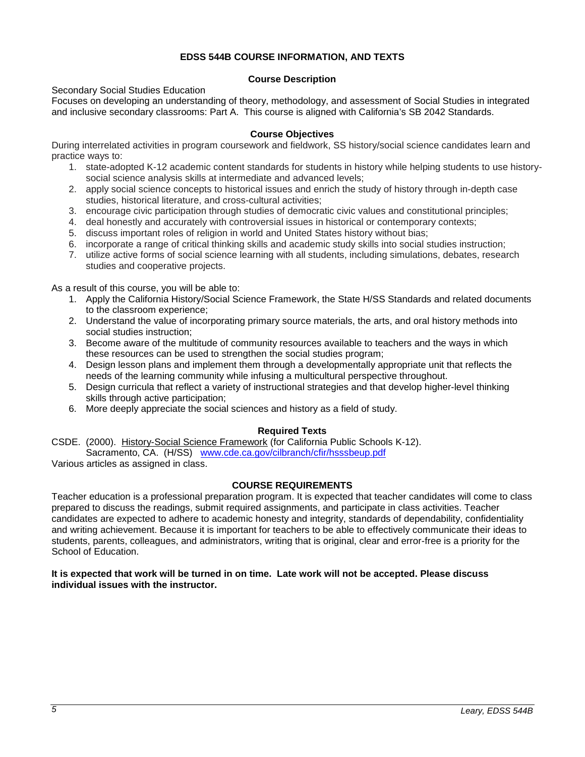## **EDSS 544B COURSE INFORMATION, AND TEXTS**

## **Course Description**

## <span id="page-4-1"></span><span id="page-4-0"></span>Secondary Social Studies Education

Focuses on developing an understanding of theory, methodology, and assessment of Social Studies in integrated and inclusive secondary classrooms: Part A. This course is aligned with California's SB 2042 Standards.

## **Course Objectives**

<span id="page-4-2"></span>During interrelated activities in program coursework and fieldwork, SS history/social science candidates learn and practice ways to:

- 1. state-adopted K-12 academic content standards for students in history while helping students to use historysocial science analysis skills at intermediate and advanced levels;
- 2. apply social science concepts to historical issues and enrich the study of history through in-depth case studies, historical literature, and cross-cultural activities;
- 3. encourage civic participation through studies of democratic civic values and constitutional principles;
- 4. deal honestly and accurately with controversial issues in historical or contemporary contexts;
- 5. discuss important roles of religion in world and United States history without bias;
- 6. incorporate a range of critical thinking skills and academic study skills into social studies instruction;
- 7. utilize active forms of social science learning with all students, including simulations, debates, research studies and cooperative projects.

As a result of this course, you will be able to:

- 1. Apply the California History/Social Science Framework, the State H/SS Standards and related documents to the classroom experience;
- 2. Understand the value of incorporating primary source materials, the arts, and oral history methods into social studies instruction;
- 3. Become aware of the multitude of community resources available to teachers and the ways in which these resources can be used to strengthen the social studies program;
- 4. Design lesson plans and implement them through a developmentally appropriate unit that reflects the needs of the learning community while infusing a multicultural perspective throughout.
- 5. Design curricula that reflect a variety of instructional strategies and that develop higher-level thinking skills through active participation;
- 6. More deeply appreciate the social sciences and history as a field of study.

## **Required Texts**

<span id="page-4-3"></span>CSDE. (2000). History-Social Science Framework (for California Public Schools K-12). Sacramento, CA. (H/SS) [www.cde.ca.gov/cilbranch/cfir/hsssbeup.pdf](http://www.cde.ca.gov/cilbranch/cfir/hsssbeup.pdf)

Various articles as assigned in class.

## **COURSE REQUIREMENTS**

<span id="page-4-4"></span>Teacher education is a professional preparation program. It is expected that teacher candidates will come to class prepared to discuss the readings, submit required assignments, and participate in class activities. Teacher candidates are expected to adhere to academic honesty and integrity, standards of dependability, confidentiality and writing achievement. Because it is important for teachers to be able to effectively communicate their ideas to students, parents, colleagues, and administrators, writing that is original, clear and error-free is a priority for the School of Education.

## **It is expected that work will be turned in on time. Late work will not be accepted. Please discuss individual issues with the instructor.**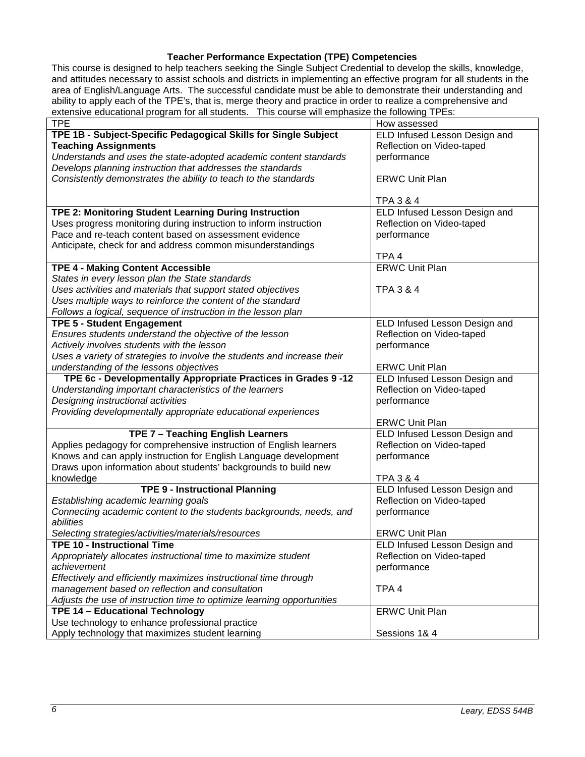## **Teacher Performance Expectation (TPE) Competencies**

<span id="page-5-0"></span>This course is designed to help teachers seeking the Single Subject Credential to develop the skills, knowledge, and attitudes necessary to assist schools and districts in implementing an effective program for all students in the area of English/Language Arts. The successful candidate must be able to demonstrate their understanding and ability to apply each of the TPE's, that is, merge theory and practice in order to realize a comprehensive and extensive educational program for all students. This course will emphasize the following TPEs:

| <b>TPE</b>                                                              | How assessed                  |
|-------------------------------------------------------------------------|-------------------------------|
| TPE 1B - Subject-Specific Pedagogical Skills for Single Subject         | ELD Infused Lesson Design and |
| <b>Teaching Assignments</b>                                             | Reflection on Video-taped     |
| Understands and uses the state-adopted academic content standards       | performance                   |
| Develops planning instruction that addresses the standards              |                               |
| Consistently demonstrates the ability to teach to the standards         | <b>ERWC Unit Plan</b>         |
|                                                                         |                               |
|                                                                         | <b>TPA 3 &amp; 4</b>          |
| TPE 2: Monitoring Student Learning During Instruction                   | ELD Infused Lesson Design and |
| Uses progress monitoring during instruction to inform instruction       | Reflection on Video-taped     |
| Pace and re-teach content based on assessment evidence                  | performance                   |
| Anticipate, check for and address common misunderstandings              |                               |
|                                                                         | TPA <sub>4</sub>              |
| <b>TPE 4 - Making Content Accessible</b>                                | <b>ERWC Unit Plan</b>         |
| States in every lesson plan the State standards                         |                               |
| Uses activities and materials that support stated objectives            | <b>TPA 3 &amp; 4</b>          |
| Uses multiple ways to reinforce the content of the standard             |                               |
| Follows a logical, sequence of instruction in the lesson plan           |                               |
| <b>TPE 5 - Student Engagement</b>                                       | ELD Infused Lesson Design and |
| Ensures students understand the objective of the lesson                 | Reflection on Video-taped     |
| Actively involves students with the lesson                              | performance                   |
| Uses a variety of strategies to involve the students and increase their |                               |
| understanding of the lessons objectives                                 | <b>ERWC Unit Plan</b>         |
| TPE 6c - Developmentally Appropriate Practices in Grades 9 -12          | ELD Infused Lesson Design and |
| Understanding important characteristics of the learners                 | Reflection on Video-taped     |
| Designing instructional activities                                      | performance                   |
| Providing developmentally appropriate educational experiences           |                               |
|                                                                         | <b>ERWC Unit Plan</b>         |
| TPE 7 - Teaching English Learners                                       | ELD Infused Lesson Design and |
| Applies pedagogy for comprehensive instruction of English learners      | Reflection on Video-taped     |
| Knows and can apply instruction for English Language development        | performance                   |
| Draws upon information about students' backgrounds to build new         |                               |
| knowledge                                                               | <b>TPA 3 &amp; 4</b>          |
| <b>TPE 9 - Instructional Planning</b>                                   | ELD Infused Lesson Design and |
| Establishing academic learning goals                                    | Reflection on Video-taped     |
| Connecting academic content to the students backgrounds, needs, and     | performance                   |
| abilities                                                               |                               |
| Selecting strategies/activities/materials/resources                     | <b>ERWC Unit Plan</b>         |
| <b>TPE 10 - Instructional Time</b>                                      | ELD Infused Lesson Design and |
| Appropriately allocates instructional time to maximize student          | Reflection on Video-taped     |
| achievement                                                             | performance                   |
| Effectively and efficiently maximizes instructional time through        |                               |
| management based on reflection and consultation                         | TPA <sub>4</sub>              |
| Adjusts the use of instruction time to optimize learning opportunities  |                               |
| TPE 14 - Educational Technology                                         | <b>ERWC Unit Plan</b>         |
| Use technology to enhance professional practice                         |                               |
| Apply technology that maximizes student learning                        | Sessions 1& 4                 |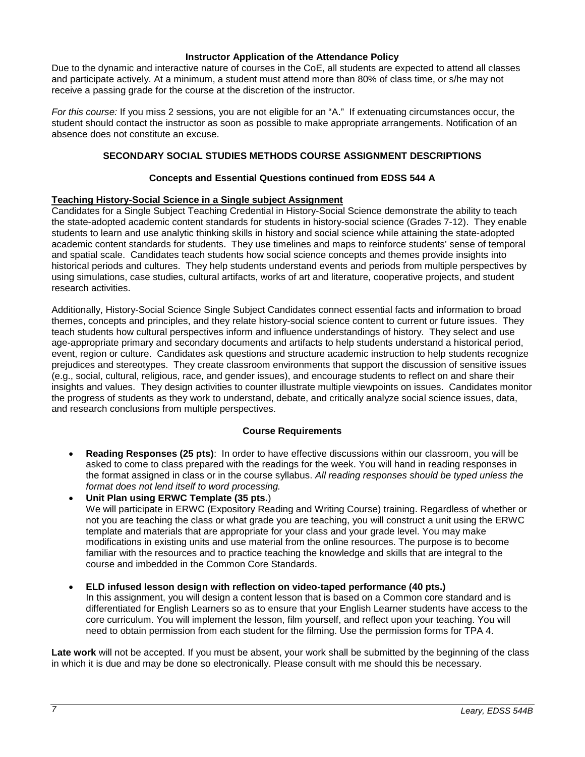#### **Instructor Application of the Attendance Policy**

<span id="page-6-0"></span>Due to the dynamic and interactive nature of courses in the CoE, all students are expected to attend all classes and participate actively. At a minimum, a student must attend more than 80% of class time, or s/he may not receive a passing grade for the course at the discretion of the instructor.

<span id="page-6-1"></span>*For this course:* If you miss 2 sessions, you are not eligible for an "A." If extenuating circumstances occur, the student should contact the instructor as soon as possible to make appropriate arrangements. Notification of an absence does not constitute an excuse.

## **SECONDARY SOCIAL STUDIES METHODS COURSE ASSIGNMENT DESCRIPTIONS**

## **Concepts and Essential Questions continued from EDSS 544 A**

## <span id="page-6-3"></span><span id="page-6-2"></span>**Teaching History-Social Science in a Single subject Assignment**

Candidates for a Single Subject Teaching Credential in History-Social Science demonstrate the ability to teach the state-adopted academic content standards for students in history-social science (Grades 7-12). They enable students to learn and use analytic thinking skills in history and social science while attaining the state-adopted academic content standards for students. They use timelines and maps to reinforce students' sense of temporal and spatial scale. Candidates teach students how social science concepts and themes provide insights into historical periods and cultures. They help students understand events and periods from multiple perspectives by using simulations, case studies, cultural artifacts, works of art and literature, cooperative projects, and student research activities.

Additionally, History-Social Science Single Subject Candidates connect essential facts and information to broad themes, concepts and principles, and they relate history-social science content to current or future issues. They teach students how cultural perspectives inform and influence understandings of history. They select and use age-appropriate primary and secondary documents and artifacts to help students understand a historical period, event, region or culture. Candidates ask questions and structure academic instruction to help students recognize prejudices and stereotypes. They create classroom environments that support the discussion of sensitive issues (e.g., social, cultural, religious, race, and gender issues), and encourage students to reflect on and share their insights and values. They design activities to counter illustrate multiple viewpoints on issues. Candidates monitor the progress of students as they work to understand, debate, and critically analyze social science issues, data, and research conclusions from multiple perspectives.

## **Course Requirements**

- <span id="page-6-4"></span>• **Reading Responses (25 pts)**: In order to have effective discussions within our classroom, you will be asked to come to class prepared with the readings for the week. You will hand in reading responses in the format assigned in class or in the course syllabus. *All reading responses should be typed unless the format does not lend itself to word processing.*
- **Unit Plan using ERWC Template (35 pts.**) We will participate in ERWC (Expository Reading and Writing Course) training. Regardless of whether or not you are teaching the class or what grade you are teaching, you will construct a unit using the ERWC template and materials that are appropriate for your class and your grade level. You may make modifications in existing units and use material from the online resources. The purpose is to become familiar with the resources and to practice teaching the knowledge and skills that are integral to the course and imbedded in the Common Core Standards.
- **ELD infused lesson design with reflection on video-taped performance (40 pts.)** In this assignment, you will design a content lesson that is based on a Common core standard and is differentiated for English Learners so as to ensure that your English Learner students have access to the core curriculum. You will implement the lesson, film yourself, and reflect upon your teaching. You will need to obtain permission from each student for the filming. Use the permission forms for TPA 4.

**Late work** will not be accepted. If you must be absent, your work shall be submitted by the beginning of the class in which it is due and may be done so electronically. Please consult with me should this be necessary.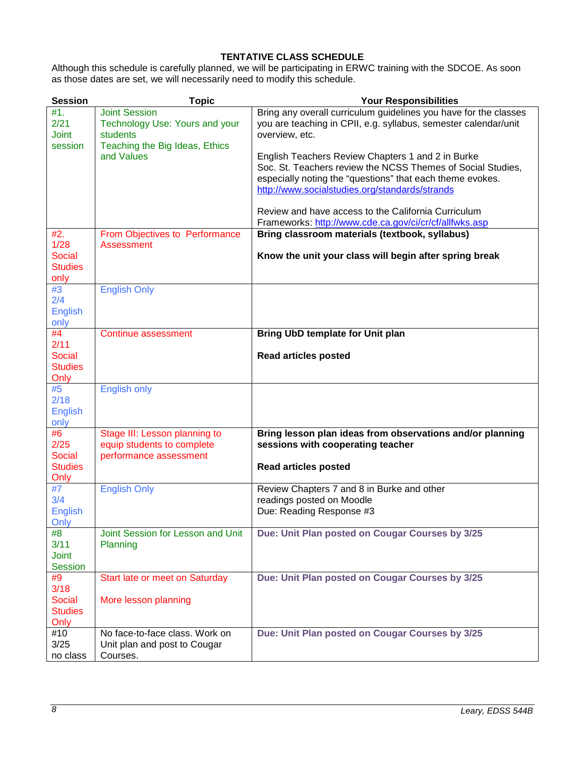## **TENTATIVE CLASS SCHEDULE**

<span id="page-7-0"></span>Although this schedule is carefully planned, we will be participating in ERWC training with the SDCOE. As soon as those dates are set, we will necessarily need to modify this schedule.

| <b>Session</b> | <b>Topic</b>                      | <b>Your Responsibilities</b>                                     |  |  |
|----------------|-----------------------------------|------------------------------------------------------------------|--|--|
| #1.            | <b>Joint Session</b>              | Bring any overall curriculum guidelines you have for the classes |  |  |
| 2/21           | Technology Use: Yours and your    | you are teaching in CPII, e.g. syllabus, semester calendar/unit  |  |  |
| <b>Joint</b>   | students                          | overview, etc.                                                   |  |  |
| session        | Teaching the Big Ideas, Ethics    |                                                                  |  |  |
|                | and Values                        | English Teachers Review Chapters 1 and 2 in Burke                |  |  |
|                |                                   | Soc. St. Teachers review the NCSS Themes of Social Studies,      |  |  |
|                |                                   | especially noting the "questions" that each theme evokes.        |  |  |
|                |                                   | http://www.socialstudies.org/standards/strands                   |  |  |
|                |                                   |                                                                  |  |  |
|                |                                   | Review and have access to the California Curriculum              |  |  |
|                |                                   | Frameworks: http://www.cde.ca.gov/ci/cr/cf/allfwks.asp           |  |  |
| #2.            | From Objectives to Performance    | Bring classroom materials (textbook, syllabus)                   |  |  |
| 1/28           | <b>Assessment</b>                 |                                                                  |  |  |
| <b>Social</b>  |                                   | Know the unit your class will begin after spring break           |  |  |
| <b>Studies</b> |                                   |                                                                  |  |  |
| only           |                                   |                                                                  |  |  |
| #3             | <b>English Only</b>               |                                                                  |  |  |
| 2/4            |                                   |                                                                  |  |  |
| <b>English</b> |                                   |                                                                  |  |  |
| only           |                                   |                                                                  |  |  |
| #4             | Continue assessment               | Bring UbD template for Unit plan                                 |  |  |
| 2/11           |                                   |                                                                  |  |  |
| Social         |                                   | <b>Read articles posted</b>                                      |  |  |
| <b>Studies</b> |                                   |                                                                  |  |  |
| Only           |                                   |                                                                  |  |  |
| #5             | <b>English only</b>               |                                                                  |  |  |
| 2/18           |                                   |                                                                  |  |  |
| <b>English</b> |                                   |                                                                  |  |  |
| only           |                                   |                                                                  |  |  |
| #6             | Stage III: Lesson planning to     | Bring lesson plan ideas from observations and/or planning        |  |  |
| 2/25           | equip students to complete        | sessions with cooperating teacher                                |  |  |
| <b>Social</b>  | performance assessment            |                                                                  |  |  |
| <b>Studies</b> |                                   | <b>Read articles posted</b>                                      |  |  |
| Only           |                                   |                                                                  |  |  |
| #7             | <b>English Only</b>               | Review Chapters 7 and 8 in Burke and other                       |  |  |
| 3/4            |                                   | readings posted on Moodle                                        |  |  |
| <b>English</b> |                                   | Due: Reading Response #3                                         |  |  |
| Only           |                                   |                                                                  |  |  |
| #8             | Joint Session for Lesson and Unit | Due: Unit Plan posted on Cougar Courses by 3/25                  |  |  |
| 3/11           | Planning                          |                                                                  |  |  |
| <b>Joint</b>   |                                   |                                                                  |  |  |
| Session        |                                   |                                                                  |  |  |
| #9             | Start late or meet on Saturday    | Due: Unit Plan posted on Cougar Courses by 3/25                  |  |  |
| 3/18           |                                   |                                                                  |  |  |
| <b>Social</b>  | More lesson planning              |                                                                  |  |  |
| <b>Studies</b> |                                   |                                                                  |  |  |
| Only           |                                   |                                                                  |  |  |
| #10            | No face-to-face class. Work on    | Due: Unit Plan posted on Cougar Courses by 3/25                  |  |  |
| 3/25           | Unit plan and post to Cougar      |                                                                  |  |  |
| no class       | Courses.                          |                                                                  |  |  |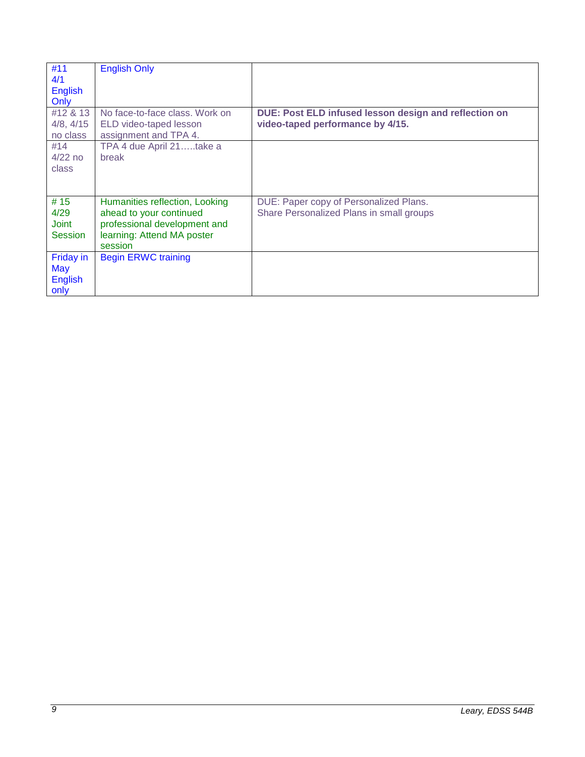| #11<br>4/1<br><b>English</b><br>Only              | <b>English Only</b>                                                                                                                |                                                                                           |
|---------------------------------------------------|------------------------------------------------------------------------------------------------------------------------------------|-------------------------------------------------------------------------------------------|
| #12 & 13<br>4/8, 4/15<br>no class                 | No face-to-face class. Work on<br>ELD video-taped lesson<br>assignment and TPA 4.                                                  | DUE: Post ELD infused lesson design and reflection on<br>video-taped performance by 4/15. |
| #14<br>$4/22$ no<br>class                         | TPA 4 due April 21take a<br>break                                                                                                  |                                                                                           |
| #15<br>4/29<br><b>Joint</b><br><b>Session</b>     | Humanities reflection, Looking<br>ahead to your continued<br>professional development and<br>learning: Attend MA poster<br>session | DUE: Paper copy of Personalized Plans.<br>Share Personalized Plans in small groups        |
| Friday in<br><b>May</b><br><b>English</b><br>only | <b>Begin ERWC training</b>                                                                                                         |                                                                                           |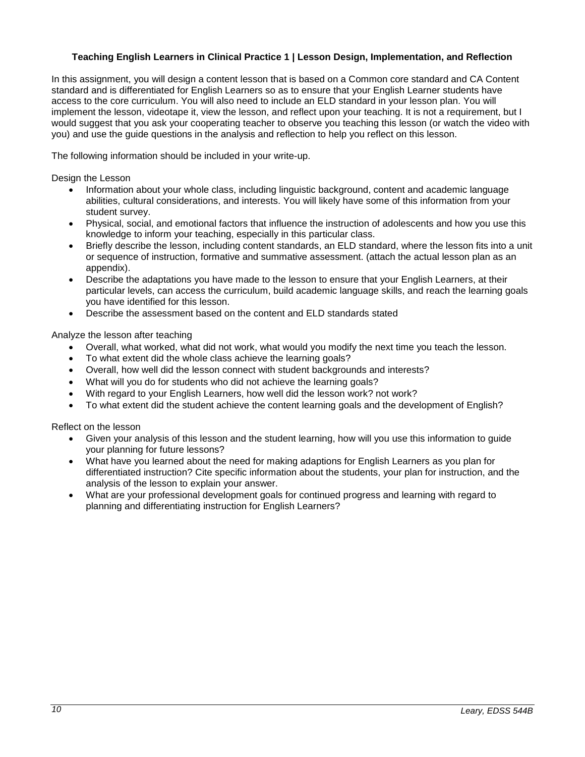## <span id="page-9-0"></span>**Teaching English Learners in Clinical Practice 1 | Lesson Design, Implementation, and Reflection**

In this assignment, you will design a content lesson that is based on a Common core standard and CA Content standard and is differentiated for English Learners so as to ensure that your English Learner students have access to the core curriculum. You will also need to include an ELD standard in your lesson plan. You will implement the lesson, videotape it, view the lesson, and reflect upon your teaching. It is not a requirement, but I would suggest that you ask your cooperating teacher to observe you teaching this lesson (or watch the video with you) and use the guide questions in the analysis and reflection to help you reflect on this lesson.

The following information should be included in your write-up.

Design the Lesson

- Information about your whole class, including linguistic background, content and academic language abilities, cultural considerations, and interests. You will likely have some of this information from your student survey.
- Physical, social, and emotional factors that influence the instruction of adolescents and how you use this knowledge to inform your teaching, especially in this particular class.
- Briefly describe the lesson, including content standards, an ELD standard, where the lesson fits into a unit or sequence of instruction, formative and summative assessment. (attach the actual lesson plan as an appendix).
- Describe the adaptations you have made to the lesson to ensure that your English Learners, at their particular levels, can access the curriculum, build academic language skills, and reach the learning goals you have identified for this lesson.
- Describe the assessment based on the content and ELD standards stated

Analyze the lesson after teaching

- Overall, what worked, what did not work, what would you modify the next time you teach the lesson.
- To what extent did the whole class achieve the learning goals?
- Overall, how well did the lesson connect with student backgrounds and interests?
- What will you do for students who did not achieve the learning goals?
- With regard to your English Learners, how well did the lesson work? not work?
- To what extent did the student achieve the content learning goals and the development of English?

Reflect on the lesson

- Given your analysis of this lesson and the student learning, how will you use this information to guide your planning for future lessons?
- What have you learned about the need for making adaptions for English Learners as you plan for differentiated instruction? Cite specific information about the students, your plan for instruction, and the analysis of the lesson to explain your answer.
- What are your professional development goals for continued progress and learning with regard to planning and differentiating instruction for English Learners?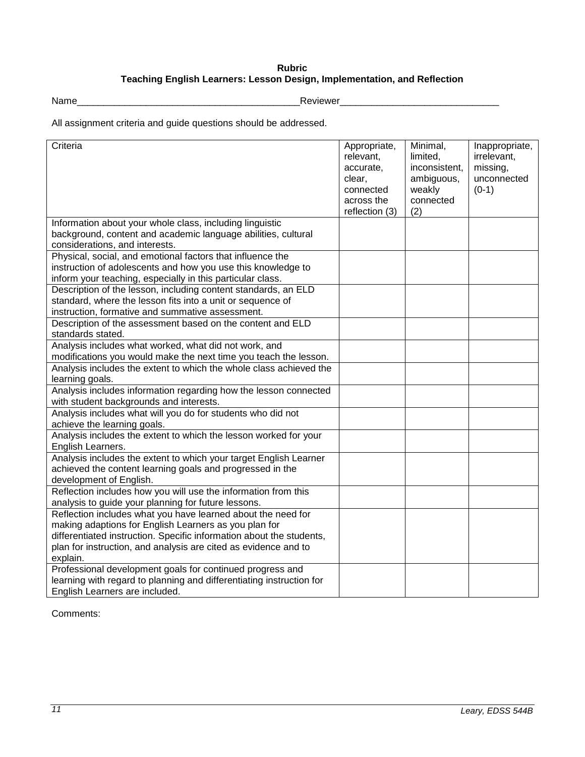## **Rubric Teaching English Learners: Lesson Design, Implementation, and Reflection**

<span id="page-10-0"></span>Name\_\_\_\_\_\_\_\_\_\_\_\_\_\_\_\_\_\_\_\_\_\_\_\_\_\_\_\_\_\_\_\_\_\_\_\_\_\_\_\_\_\_Reviewer\_\_\_\_\_\_\_\_\_\_\_\_\_\_\_\_\_\_\_\_\_\_\_\_\_\_\_\_\_\_

All assignment criteria and guide questions should be addressed.

| Criteria                                                                                                                                                                                                                                                                     | Appropriate,<br>relevant,<br>accurate,<br>clear,<br>connected<br>across the<br>reflection (3) | Minimal,<br>limited,<br>inconsistent,<br>ambiguous,<br>weakly<br>connected<br>(2) | Inappropriate,<br>irrelevant,<br>missing,<br>unconnected<br>$(0-1)$ |
|------------------------------------------------------------------------------------------------------------------------------------------------------------------------------------------------------------------------------------------------------------------------------|-----------------------------------------------------------------------------------------------|-----------------------------------------------------------------------------------|---------------------------------------------------------------------|
| Information about your whole class, including linguistic<br>background, content and academic language abilities, cultural<br>considerations, and interests.                                                                                                                  |                                                                                               |                                                                                   |                                                                     |
| Physical, social, and emotional factors that influence the<br>instruction of adolescents and how you use this knowledge to<br>inform your teaching, especially in this particular class.                                                                                     |                                                                                               |                                                                                   |                                                                     |
| Description of the lesson, including content standards, an ELD<br>standard, where the lesson fits into a unit or sequence of<br>instruction, formative and summative assessment.                                                                                             |                                                                                               |                                                                                   |                                                                     |
| Description of the assessment based on the content and ELD<br>standards stated.                                                                                                                                                                                              |                                                                                               |                                                                                   |                                                                     |
| Analysis includes what worked, what did not work, and<br>modifications you would make the next time you teach the lesson.                                                                                                                                                    |                                                                                               |                                                                                   |                                                                     |
| Analysis includes the extent to which the whole class achieved the<br>learning goals.                                                                                                                                                                                        |                                                                                               |                                                                                   |                                                                     |
| Analysis includes information regarding how the lesson connected<br>with student backgrounds and interests.                                                                                                                                                                  |                                                                                               |                                                                                   |                                                                     |
| Analysis includes what will you do for students who did not<br>achieve the learning goals.                                                                                                                                                                                   |                                                                                               |                                                                                   |                                                                     |
| Analysis includes the extent to which the lesson worked for your<br>English Learners.                                                                                                                                                                                        |                                                                                               |                                                                                   |                                                                     |
| Analysis includes the extent to which your target English Learner<br>achieved the content learning goals and progressed in the<br>development of English.                                                                                                                    |                                                                                               |                                                                                   |                                                                     |
| Reflection includes how you will use the information from this<br>analysis to guide your planning for future lessons.                                                                                                                                                        |                                                                                               |                                                                                   |                                                                     |
| Reflection includes what you have learned about the need for<br>making adaptions for English Learners as you plan for<br>differentiated instruction. Specific information about the students,<br>plan for instruction, and analysis are cited as evidence and to<br>explain. |                                                                                               |                                                                                   |                                                                     |
| Professional development goals for continued progress and<br>learning with regard to planning and differentiating instruction for<br>English Learners are included.                                                                                                          |                                                                                               |                                                                                   |                                                                     |

Comments: